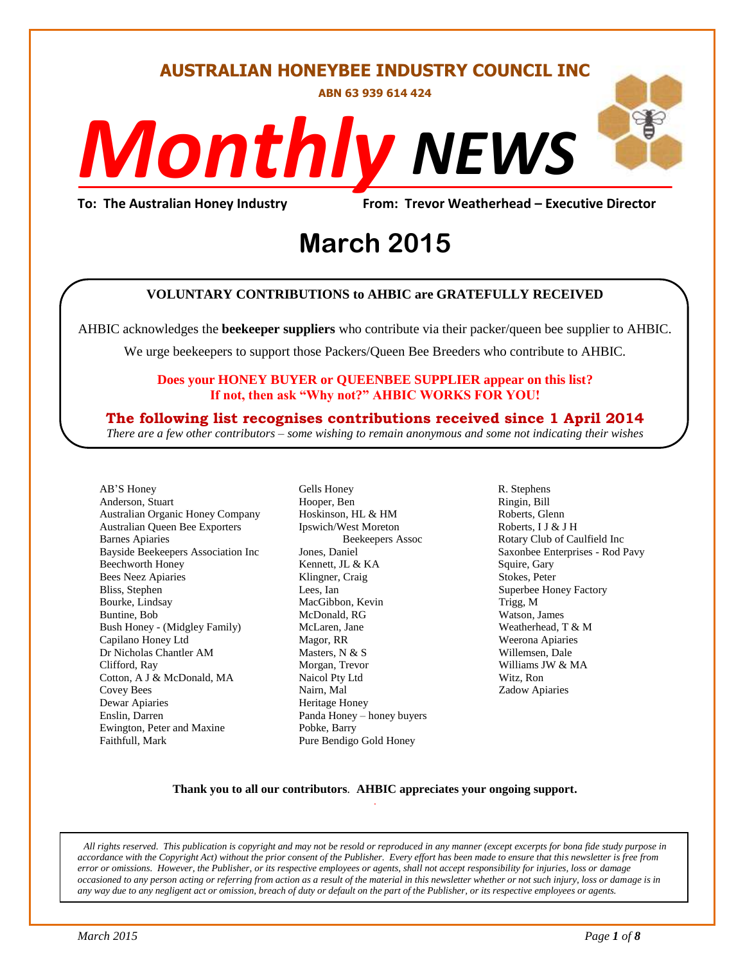#### **AUSTRALIAN HONEYBEE INDUSTRY COUNCIL INC**

**ABN 63 939 614 424**

# *NEWS Monthly*

**To: The Australian Honey Industry From: Trevor Weatherhead – Executive Director**

## From: Trevor Weather<br> **March** 2015

#### **VOLUNTARY CONTRIBUTIONS to AHBIC are GRATEFULLY RECEIVED**

AHBIC acknowledges the **beekeeper suppliers** who contribute via their packer/queen bee supplier to AHBIC.

We urge beekeepers to support those Packers/Queen Bee Breeders who contribute to AHBIC.

#### **Does your HONEY BUYER or QUEENBEE SUPPLIER appear on this list? If not, then ask "Why not?" AHBIC WORKS FOR YOU!**

#### **The following list recognises contributions received since 1 April 2014**

*There are a few other contributors – some wishing to remain anonymous and some not indicating their wishes*

AB'S Honey Anderson, Stuart Australian Organic Honey Company Australian Queen Bee Exporters Barnes Apiaries Bayside Beekeepers Association Inc Beechworth Honey Bees Neez Apiaries Bliss, Stephen Bourke, Lindsay Buntine, Bob Bush Honey - (Midgley Family) Capilano Honey Ltd Dr Nicholas Chantler AM Clifford, Ray Cotton, A J & McDonald, MA Covey Bees Dewar Apiaries Enslin, Darren Ewington, Peter and Maxine Faithfull, Mark

Gells Honey Hooper, Ben Hoskinson, HL & HM Ipswich/West Moreton Beekeepers Assoc Jones, Daniel Kennett, JL & KA Klingner, Craig Lees, Ian MacGibbon, Kevin McDonald, RG McLaren, Jane Magor, RR Masters, N & S Morgan, Trevor Naicol Pty Ltd Nairn, Mal Heritage Honey Panda Honey – honey buyers Pobke, Barry Pure Bendigo Gold Honey

R. Stephens Ringin, Bill Roberts, Glenn Roberts, I J & J H Rotary Club of Caulfield Inc Saxonbee Enterprises - Rod Pavy Squire, Gary Stokes, Peter Superbee Honey Factory Trigg, M Watson, James Weatherhead, T & M Weerona Apiaries Willemsen, Dale Williams JW & MA Witz, Ron Zadow Apiaries

#### **Thank you to all our contributors***.* **AHBIC appreciates your ongoing support.** .

All rights reserved. This publication is copyright and may not be resold or reproduced in any manner (except excerpts for bona fide study purpose in *accordance with the Copyright Act) without the prior consent of the Publisher. Every effort has been made to ensure that this newsletter is free from error or omissions. However, the Publisher, or its respective employees or agents, shall not accept responsibility for injuries, loss or damage occasioned to any person acting or referring from action as a result of the material in this newsletter whether or not such injury, loss or damage is in any way due to any negligent act or omission, breach of duty or default on the part of the Publisher, or its respective employees or agents.*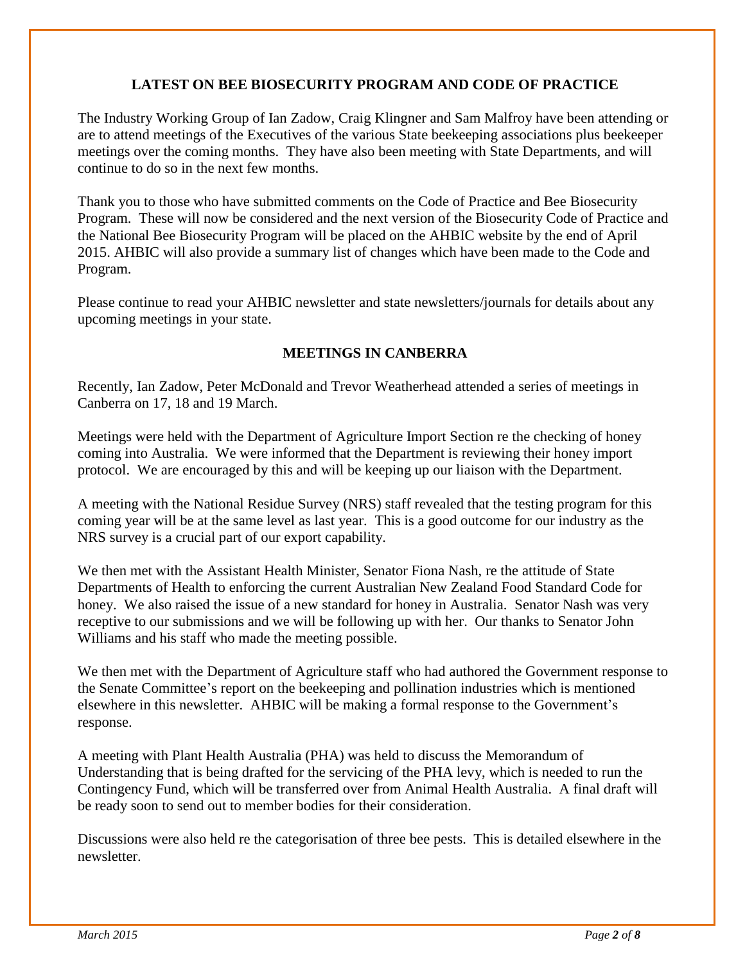#### **LATEST ON BEE BIOSECURITY PROGRAM AND CODE OF PRACTICE**

The Industry Working Group of Ian Zadow, Craig Klingner and Sam Malfroy have been attending or are to attend meetings of the Executives of the various State beekeeping associations plus beekeeper meetings over the coming months. They have also been meeting with State Departments, and will continue to do so in the next few months.

Thank you to those who have submitted comments on the Code of Practice and Bee Biosecurity Program. These will now be considered and the next version of the Biosecurity Code of Practice and the National Bee Biosecurity Program will be placed on the AHBIC website by the end of April 2015. AHBIC will also provide a summary list of changes which have been made to the Code and Program.

Please continue to read your AHBIC newsletter and state newsletters/journals for details about any upcoming meetings in your state.

#### **MEETINGS IN CANBERRA**

Recently, Ian Zadow, Peter McDonald and Trevor Weatherhead attended a series of meetings in Canberra on 17, 18 and 19 March.

Meetings were held with the Department of Agriculture Import Section re the checking of honey coming into Australia. We were informed that the Department is reviewing their honey import protocol. We are encouraged by this and will be keeping up our liaison with the Department.

A meeting with the National Residue Survey (NRS) staff revealed that the testing program for this coming year will be at the same level as last year. This is a good outcome for our industry as the NRS survey is a crucial part of our export capability.

We then met with the Assistant Health Minister, Senator Fiona Nash, re the attitude of State Departments of Health to enforcing the current Australian New Zealand Food Standard Code for honey. We also raised the issue of a new standard for honey in Australia. Senator Nash was very receptive to our submissions and we will be following up with her. Our thanks to Senator John Williams and his staff who made the meeting possible.

We then met with the Department of Agriculture staff who had authored the Government response to the Senate Committee's report on the beekeeping and pollination industries which is mentioned elsewhere in this newsletter. AHBIC will be making a formal response to the Government's response.

A meeting with Plant Health Australia (PHA) was held to discuss the Memorandum of Understanding that is being drafted for the servicing of the PHA levy, which is needed to run the Contingency Fund, which will be transferred over from Animal Health Australia. A final draft will be ready soon to send out to member bodies for their consideration.

Discussions were also held re the categorisation of three bee pests. This is detailed elsewhere in the newsletter.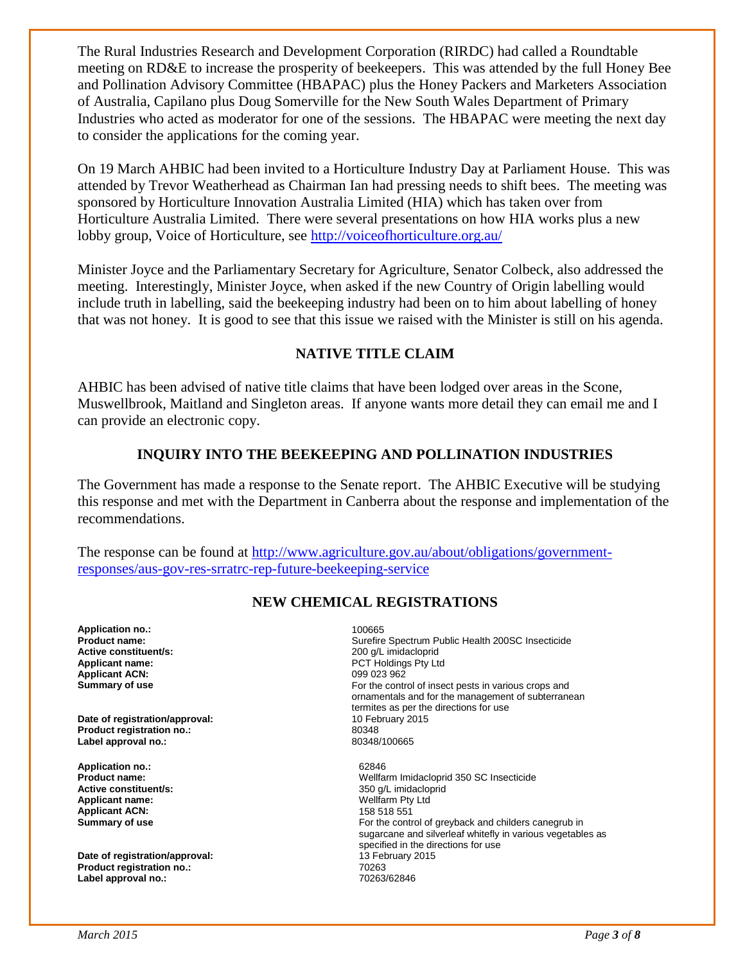The Rural Industries Research and Development Corporation (RIRDC) had called a Roundtable meeting on RD&E to increase the prosperity of beekeepers. This was attended by the full Honey Bee and Pollination Advisory Committee (HBAPAC) plus the Honey Packers and Marketers Association of Australia, Capilano plus Doug Somerville for the New South Wales Department of Primary Industries who acted as moderator for one of the sessions. The HBAPAC were meeting the next day to consider the applications for the coming year.

On 19 March AHBIC had been invited to a Horticulture Industry Day at Parliament House. This was attended by Trevor Weatherhead as Chairman Ian had pressing needs to shift bees. The meeting was sponsored by Horticulture Innovation Australia Limited (HIA) which has taken over from Horticulture Australia Limited. There were several presentations on how HIA works plus a new lobby group, Voice of Horticulture, see<http://voiceofhorticulture.org.au/>

Minister Joyce and the Parliamentary Secretary for Agriculture, Senator Colbeck, also addressed the meeting. Interestingly, Minister Joyce, when asked if the new Country of Origin labelling would include truth in labelling, said the beekeeping industry had been on to him about labelling of honey that was not honey. It is good to see that this issue we raised with the Minister is still on his agenda.

#### **NATIVE TITLE CLAIM**

AHBIC has been advised of native title claims that have been lodged over areas in the Scone, Muswellbrook, Maitland and Singleton areas. If anyone wants more detail they can email me and I can provide an electronic copy.

#### **INQUIRY INTO THE BEEKEEPING AND POLLINATION INDUSTRIES**

The Government has made a response to the Senate report. The AHBIC Executive will be studying this response and met with the Department in Canberra about the response and implementation of the recommendations.

The response can be found at [http://www.agriculture.gov.au/about/obligations/government](http://www.agriculture.gov.au/about/obligations/government-responses/aus-gov-res-srratrc-rep-future-beekeeping-service)[responses/aus-gov-res-srratrc-rep-future-beekeeping-service](http://www.agriculture.gov.au/about/obligations/government-responses/aus-gov-res-srratrc-rep-future-beekeeping-service)

#### **NEW CHEMICAL REGISTRATIONS**

**Application no.:** 100665 **Active constituent/s: Applicant ACN:**<br>Summary of use

**Date of registration/approval: Product registration no.:** 80348 Label approval no.:

**Application no.:** 62846 **Active constituent/s:** <br> **Applicant name:** <br> **Applicant name:** <br> **Applicant name:** <br> **Applicant name:** <br> **Applicant name:** <br> **Applicant name:** <br> **Applicant name:** <br> **Applicant name:** <br> **Applicant name:** <br> **Applicant name: Applicant name: Applicant ACN:** 158 518 551

**Date of registration/approval:** 13 February 2015<br> **Product registration no.:** 70263 **Product registration no.: Label approval no.:** 70263/62846

**Product name: Product name: Surefire Spectrum Public Health 200SC Insecticide**<br> **Active constituent/s: Surefire Spectrum 200 q/L imidacloprid Applicant name:** PCT Holdings Pty Ltd For the control of insect pests in various crops and ornamentals and for the management of subterranean termites as per the directions for use<br>10 February 2015

> **Product name:** Wellfarm Imidacloprid 350 SC Insecticide For the control of greyback and childers canegrub in sugarcane and silverleaf whitefly in various vegetables as specified in the directions for use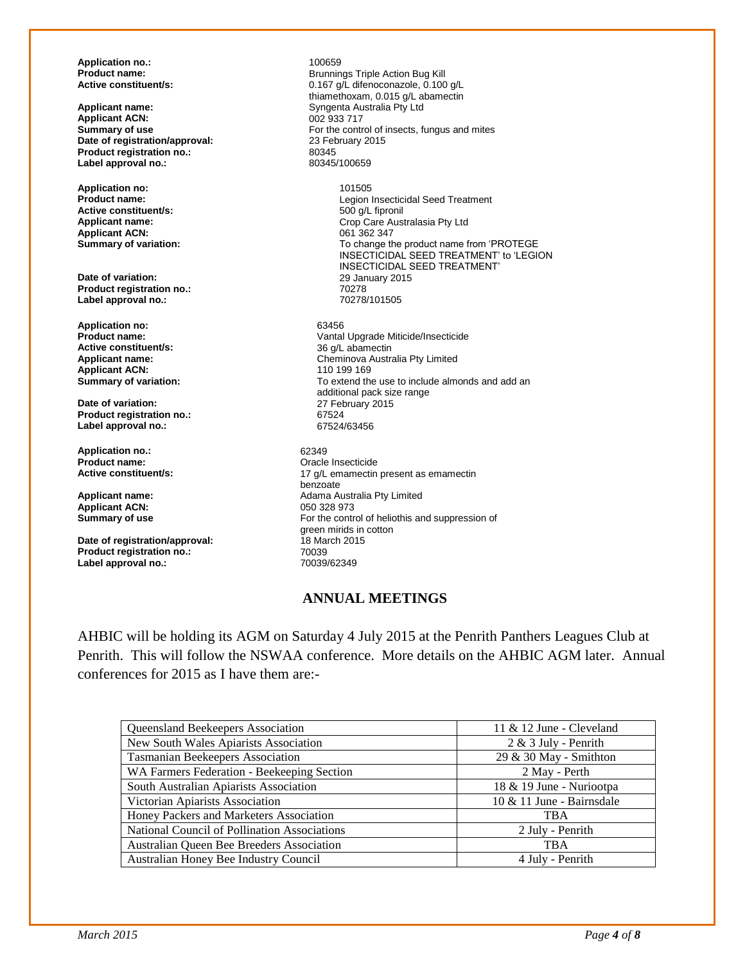**Application no.:** 100659

**Applicant ACN:**<br>Summary of use **Date of registration/approval:** 23 February 2015<br> **Product registration no.:** 80345 **Product registration no.:** 80345<br>
Label approval no.: 80345/100659 **Label approval no.:** 

**Application no:** 101505 **Active constituent/s:**<br>Applicant name: **Applicant ACN:**<br>Summary of variation:

**Date of variation:** 29 January 2015<br> **Product registration no.:** 20278 **Product registration no.:**  $\begin{array}{ccc}\n\bullet & \bullet & \bullet & \bullet \\
\textbf{Label} & \textbf{a} & \textbf{a} & \textbf{a} \\
\bullet & \textbf{B} & \textbf{a} & \textbf{a} & \textbf{a} \\
\bullet & \textbf{B} & \textbf{a} & \textbf{a} & \textbf{a} \\
\bullet & \textbf{B} & \textbf{a} & \textbf{a} & \textbf{a} \\
\bullet & \textbf{B} & \textbf{a} & \textbf{a} & \textbf{a} \\
\bullet & \textbf{B} & \textbf{B} & \textbf{$ Label approval no.:

**Application no:** 63456<br> **Product name:** Canada Canada Canada Canada Canada Canada Canada Canada Canada Canada Canada Canada Canada Canada Canada Canada Canada Canada Canada Canada Canada Canada Canada Canada Canada Canada **Active constituent/s:**<br>Applicant name: **Applicant ACN:**<br>**Summary of variation:** 

**Date of variation:** 27 February 2015<br> **Product registration no.:** 67524 **Product registration no.:** 67524 Label approval no.:

**Application no.:** 62349<br> **Product name:** Cracle **Product name: Product name: Product name: Product name: Product name: Product name: Product name: Product name: Product name: Product name: Product name: Product name: Product name: Product name:** 

**Applicant ACN:**<br>Summary of use

**Date of registration/approval:** 18 Ma<br>Product registration no.: 18 70039 **Product registration no.:** 70039<br>
Label approval no.: 70039/62349 Label approval no.:

**Product name: Product name: Brunnings Triple Action Bug Kill**<br> **Active constituent/s:** 0.167 a/L difenoconazole. 0.100 **Active constituent/s:** 0.167 g/L difenoconazole, 0.100 g/L thiamethoxam, 0.015 g/L abamectin **Applicant name:** Syngenta Australia Pty Ltd For the control of insects, fungus and mites 23 February 2015

> Legion Insecticidal Seed Treatment<br>500 g/L fipronil Crop Care Australasia Pty Ltd<br>061 362 347 To change the product name from 'PROTEGE INSECTICIDAL SEED TREATMENT' to 'LEGION INSECTICIDAL SEED TREATMENT'

Vantal Upgrade Miticide/Insecticide<br>36 a/L abamectin Cheminova Australia Pty Limited<br>110 199 169 To extend the use to include almonds and add an additional pack size range

17 g/L emamectin present as emamectin benzoate **Applicant name:**  $\begin{array}{r} \text{Adama Australia Pty Limited} \\ \text{Applicant ACN:} \end{array}$ For the control of heliothis and suppression of green mirids in cotton<br>18 March 2015

#### **ANNUAL MEETINGS**

AHBIC will be holding its AGM on Saturday 4 July 2015 at the Penrith Panthers Leagues Club at Penrith. This will follow the NSWAA conference. More details on the AHBIC AGM later. Annual conferences for 2015 as I have them are:-

| Queensland Beekeepers Association                         | $11 \& 12$ June - Cleveland |  |  |
|-----------------------------------------------------------|-----------------------------|--|--|
| New South Wales Apiarists Association                     | $2 & 3$ July - Penrith      |  |  |
| Tasmanian Beekeepers Association                          | 29 & 30 May - Smithton      |  |  |
| WA Farmers Federation - Beekeeping Section                | 2 May - Perth               |  |  |
| South Australian Apiarists Association                    | 18 & 19 June - Nuriootpa    |  |  |
| Victorian Apiarists Association                           | 10 & 11 June - Bairnsdale   |  |  |
| Honey Packers and Marketers Association                   | <b>TBA</b>                  |  |  |
| National Council of Pollination Associations              | 2 July - Penrith            |  |  |
| Australian Queen Bee Breeders Association                 | <b>TBA</b>                  |  |  |
| Australian Honey Bee Industry Council<br>4 July - Penrith |                             |  |  |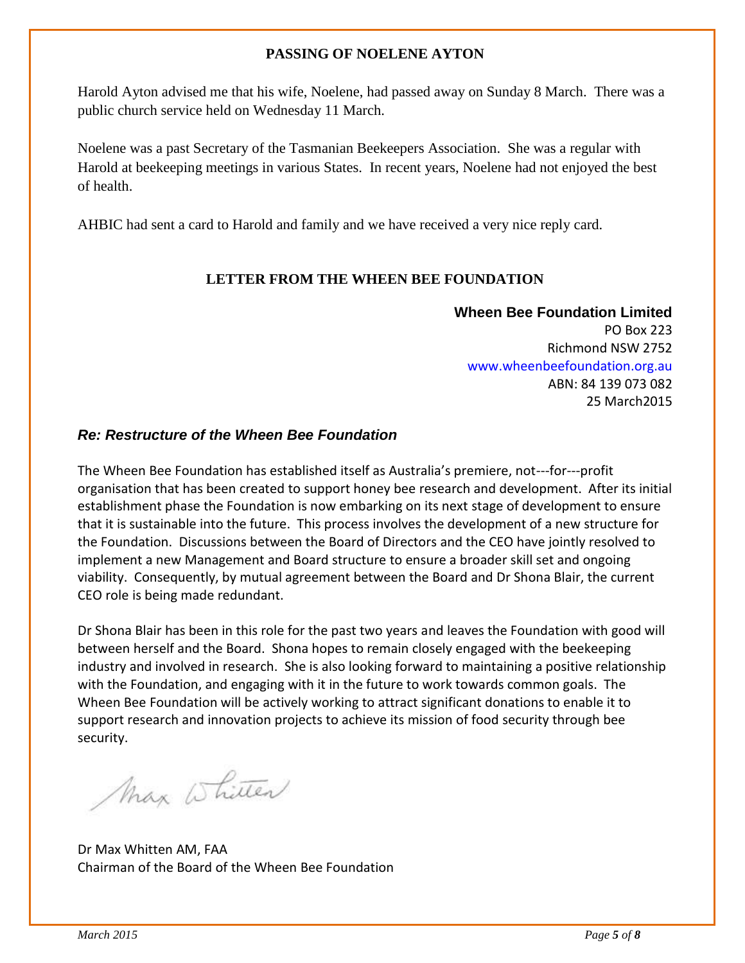#### **PASSING OF NOELENE AYTON**

Harold Ayton advised me that his wife, Noelene, had passed away on Sunday 8 March. There was a public church service held on Wednesday 11 March.

Noelene was a past Secretary of the Tasmanian Beekeepers Association. She was a regular with Harold at beekeeping meetings in various States. In recent years, Noelene had not enjoyed the best of health.

AHBIC had sent a card to Harold and family and we have received a very nice reply card.

#### **LETTER FROM THE WHEEN BEE FOUNDATION**

**Wheen Bee Foundation Limited** PO Box 223 Richmond NSW 2752 www.wheenbeefoundation.org.au ABN: 84 139 073 082 25 March2015

#### *Re: Restructure of the Wheen Bee Foundation*

The Wheen Bee Foundation has established itself as Australia's premiere, not--‐for--‐profit organisation that has been created to support honey bee research and development. After its initial establishment phase the Foundation is now embarking on its next stage of development to ensure that it is sustainable into the future. This process involves the development of a new structure for the Foundation. Discussions between the Board of Directors and the CEO have jointly resolved to implement a new Management and Board structure to ensure a broader skill set and ongoing viability. Consequently, by mutual agreement between the Board and Dr Shona Blair, the current CEO role is being made redundant.

Dr Shona Blair has been in this role for the past two years and leaves the Foundation with good will between herself and the Board. Shona hopes to remain closely engaged with the beekeeping industry and involved in research. She is also looking forward to maintaining a positive relationship with the Foundation, and engaging with it in the future to work towards common goals. The Wheen Bee Foundation will be actively working to attract significant donations to enable it to support research and innovation projects to achieve its mission of food security through bee security.

Max Whiten

Dr Max Whitten AM, FAA Chairman of the Board of the Wheen Bee Foundation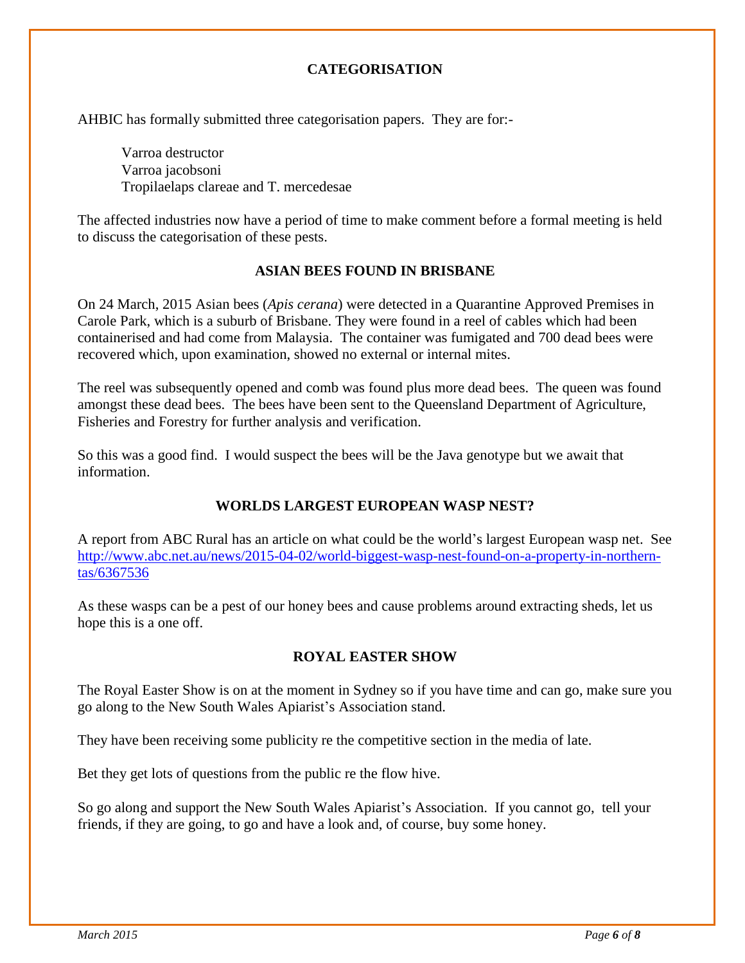#### **CATEGORISATION**

AHBIC has formally submitted three categorisation papers. They are for:-

Varroa destructor Varroa jacobsoni Tropilaelaps clareae and T. mercedesae

The affected industries now have a period of time to make comment before a formal meeting is held to discuss the categorisation of these pests.

#### **ASIAN BEES FOUND IN BRISBANE**

On 24 March, 2015 Asian bees (*Apis cerana*) were detected in a Quarantine Approved Premises in Carole Park, which is a suburb of Brisbane. They were found in a reel of cables which had been containerised and had come from Malaysia. The container was fumigated and 700 dead bees were recovered which, upon examination, showed no external or internal mites.

The reel was subsequently opened and comb was found plus more dead bees. The queen was found amongst these dead bees. The bees have been sent to the Queensland Department of Agriculture, Fisheries and Forestry for further analysis and verification.

So this was a good find. I would suspect the bees will be the Java genotype but we await that information.

#### **WORLDS LARGEST EUROPEAN WASP NEST?**

A report from ABC Rural has an article on what could be the world's largest European wasp net. See [http://www.abc.net.au/news/2015-04-02/world-biggest-wasp-nest-found-on-a-property-in-northern](http://www.abc.net.au/news/2015-04-02/world-biggest-wasp-nest-found-on-a-property-in-northern-tas/6367536)[tas/6367536](http://www.abc.net.au/news/2015-04-02/world-biggest-wasp-nest-found-on-a-property-in-northern-tas/6367536)

As these wasps can be a pest of our honey bees and cause problems around extracting sheds, let us hope this is a one off.

#### **ROYAL EASTER SHOW**

The Royal Easter Show is on at the moment in Sydney so if you have time and can go, make sure you go along to the New South Wales Apiarist's Association stand.

They have been receiving some publicity re the competitive section in the media of late.

Bet they get lots of questions from the public re the flow hive.

So go along and support the New South Wales Apiarist's Association. If you cannot go, tell your friends, if they are going, to go and have a look and, of course, buy some honey.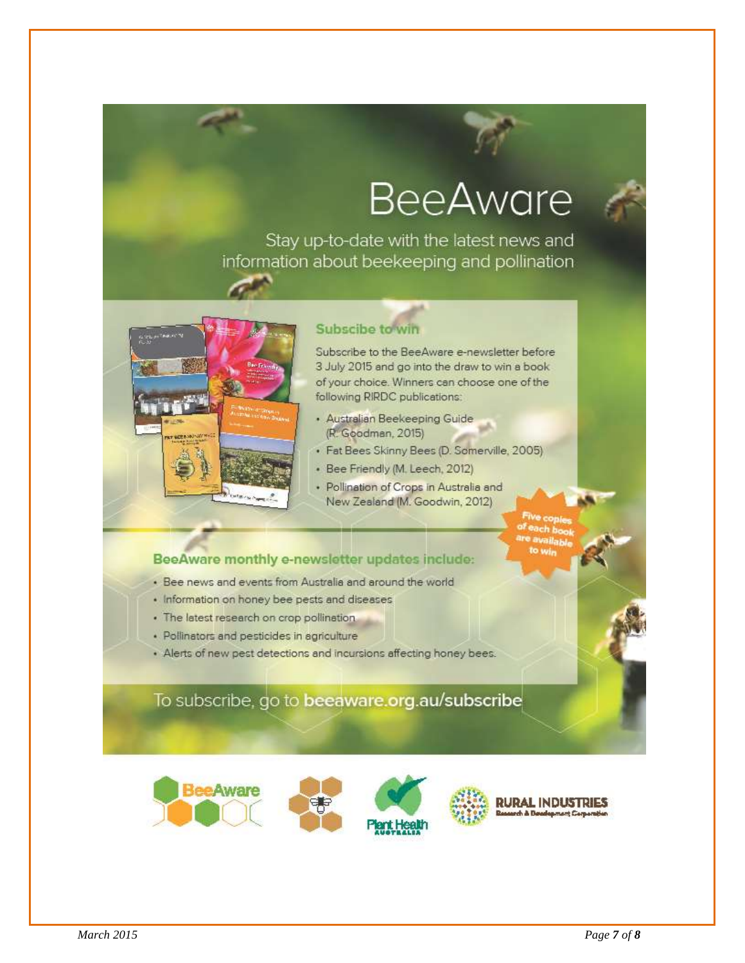### **BeeAware**

Stay up-to-date with the latest news and information about beekeeping and pollination



#### Subscibe to win

Subscribe to the BeeAware e-newsletter before 3 July 2015 and go into the draw to win a book of your choice. Winners can choose one of the following RIRDC publications:

- · Australian Beekeeping Guide (R. Goodman, 2015)
- · Fat Bees Skinny Bees (D. Somerville, 2005)
- · Bee Friendly (M. Leech, 2012)
- · Pollination of Crops in Australia and New Zealand (M. Goodwin, 2012)
- 

#### BeeAware monthly e-newsletter updates include:

- · Bee news and events from Australia and around the world
- · Information on honey bee pests and diseases
- · The latest research on crop pollination.
- · Pollinators and pesticides in agriculture
- Alerts of new pest detections and incursions affecting honey bees.

#### To subscribe, go to beeaware.org.au/subscribe